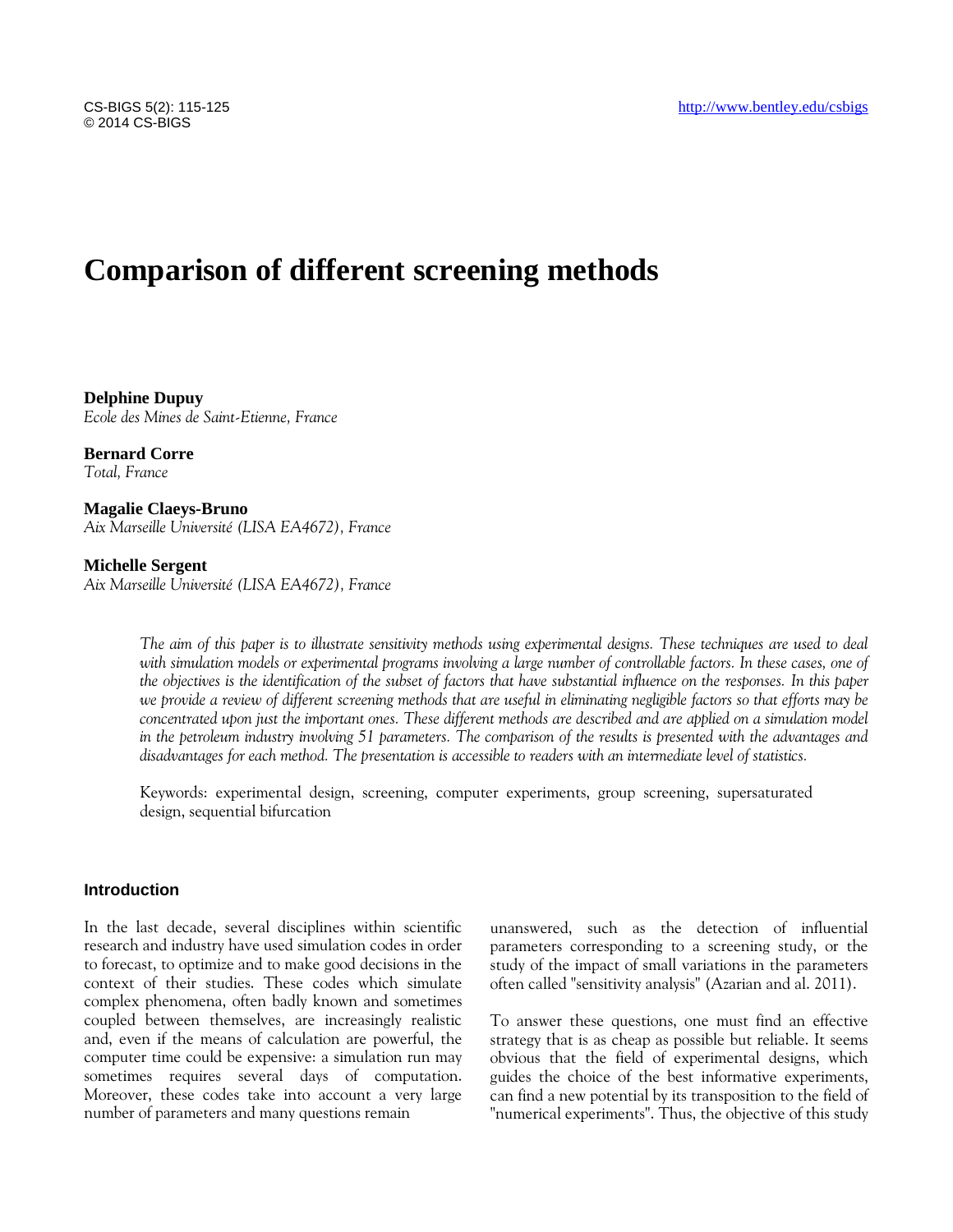# **Comparison of different screening methods**

**Delphine Dupuy** *Ecole des Mines de Saint-Etienne, France*

**Bernard Corre** *Total, France*

**Magalie Claeys-Bruno** *Aix Marseille Université (LISA EA4672), France*

## **Michelle Sergent**

*Aix Marseille Université (LISA EA4672), France*

*The aim of this paper is to illustrate sensitivity methods using experimental designs. These techniques are used to deal*  with simulation models or experimental programs involving a large number of controllable factors. In these cases, one of *the objectives is the identification of the subset of factors that have substantial influence on the responses. In this paper we provide a review of different screening methods that are useful in eliminating negligible factors so that efforts may be concentrated upon just the important ones. These different methods are described and are applied on a simulation model in the petroleum industry involving 51 parameters. The comparison of the results is presented with the advantages and disadvantages for each method. The presentation is accessible to readers with an intermediate level of statistics.*

Keywords: experimental design, screening, computer experiments, group screening, supersaturated design, sequential bifurcation

## **Introduction**

In the last decade, several disciplines within scientific research and industry have used simulation codes in order to forecast, to optimize and to make good decisions in the context of their studies. These codes which simulate complex phenomena, often badly known and sometimes coupled between themselves, are increasingly realistic and, even if the means of calculation are powerful, the computer time could be expensive: a simulation run may sometimes requires several days of computation. Moreover, these codes take into account a very large number of parameters and many questions remain

unanswered, such as the detection of influential parameters corresponding to a screening study, or the study of the impact of small variations in the parameters often called "sensitivity analysis" (Azarian and al. 2011).

To answer these questions, one must find an effective strategy that is as cheap as possible but reliable. It seems obvious that the field of experimental designs, which guides the choice of the best informative experiments, can find a new potential by its transposition to the field of "numerical experiments". Thus, the objective of this study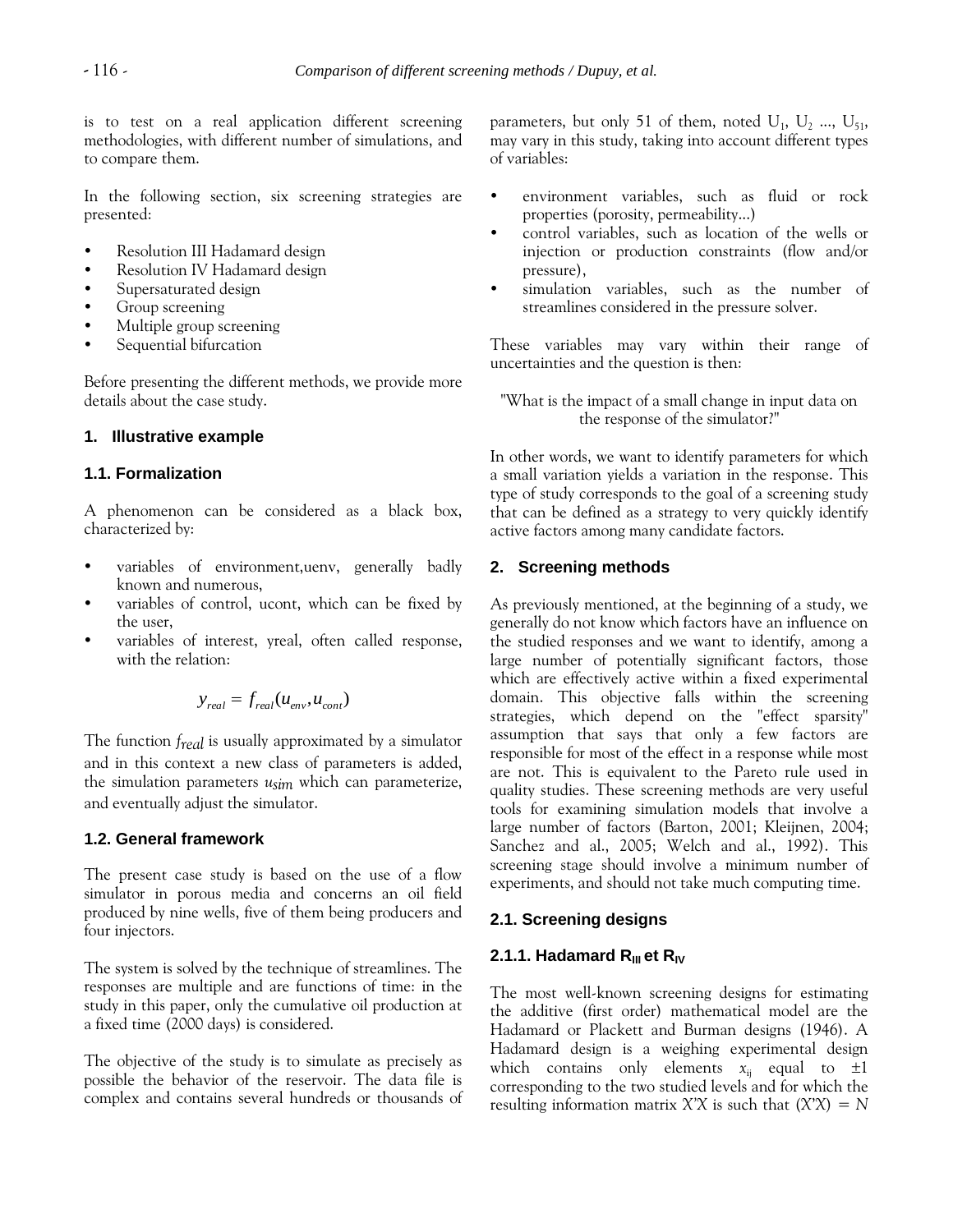is to test on a real application different screening methodologies, with different number of simulations, and to compare them.

In the following section, six screening strategies are presented:

- Resolution III Hadamard design
- Resolution IV Hadamard design
- Supersaturated design
- Group screening
- Multiple group screening
- Sequential bifurcation

Before presenting the different methods, we provide more details about the case study.

## **1. Illustrative example**

#### **1.1. Formalization**

A phenomenon can be considered as a black box, characterized by:

- variables of environment,uenv, generally badly known and numerous,
- variables of control, ucont, which can be fixed by the user,
- variables of interest, yreal, often called response, with the relation:

$$
y_{real} = f_{real}(u_{env}, u_{cont})
$$

The function *freal* is usually approximated by a simulator and in this context a new class of parameters is added, the simulation parameters *usim* which can parameterize, and eventually adjust the simulator.

## **1.2. General framework**

The present case study is based on the use of a flow simulator in porous media and concerns an oil field produced by nine wells, five of them being producers and four injectors.

The system is solved by the technique of streamlines. The responses are multiple and are functions of time: in the study in this paper, only the cumulative oil production at a fixed time (2000 days) is considered.

The objective of the study is to simulate as precisely as possible the behavior of the reservoir. The data file is complex and contains several hundreds or thousands of

parameters, but only 51 of them, noted  $U_1$ ,  $U_2$  ...,  $U_{51}$ , may vary in this study, taking into account different types of variables:

- environment variables, such as fluid or rock properties (porosity, permeability...)
- control variables, such as location of the wells or injection or production constraints (flow and/or pressure),
- simulation variables, such as the number of streamlines considered in the pressure solver.

These variables may vary within their range of uncertainties and the question is then:

"What is the impact of a small change in input data on the response of the simulator?"

In other words, we want to identify parameters for which a small variation yields a variation in the response. This type of study corresponds to the goal of a screening study that can be defined as a strategy to very quickly identify active factors among many candidate factors.

## **2. Screening methods**

As previously mentioned, at the beginning of a study, we generally do not know which factors have an influence on the studied responses and we want to identify, among a large number of potentially significant factors, those which are effectively active within a fixed experimental domain. This objective falls within the screening strategies, which depend on the "effect sparsity" assumption that says that only a few factors are responsible for most of the effect in a response while most are not. This is equivalent to the Pareto rule used in quality studies. These screening methods are very useful tools for examining simulation models that involve a large number of factors (Barton, 2001; Kleijnen, 2004; Sanchez and al., 2005; Welch and al., 1992). This screening stage should involve a minimum number of experiments, and should not take much computing time.

## **2.1. Screening designs**

## **2.1.1. Hadamard R**<sub>III</sub> et R<sub>IV</sub>

The most well-known screening designs for estimating the additive (first order) mathematical model are the Hadamard or Plackett and Burman designs (1946). A Hadamard design is a weighing experimental design which contains only elements  $x_{ij}$  equal to  $\pm 1$ corresponding to the two studied levels and for which the resulting information matrix  $X'X$  is such that  $(X'X) = N$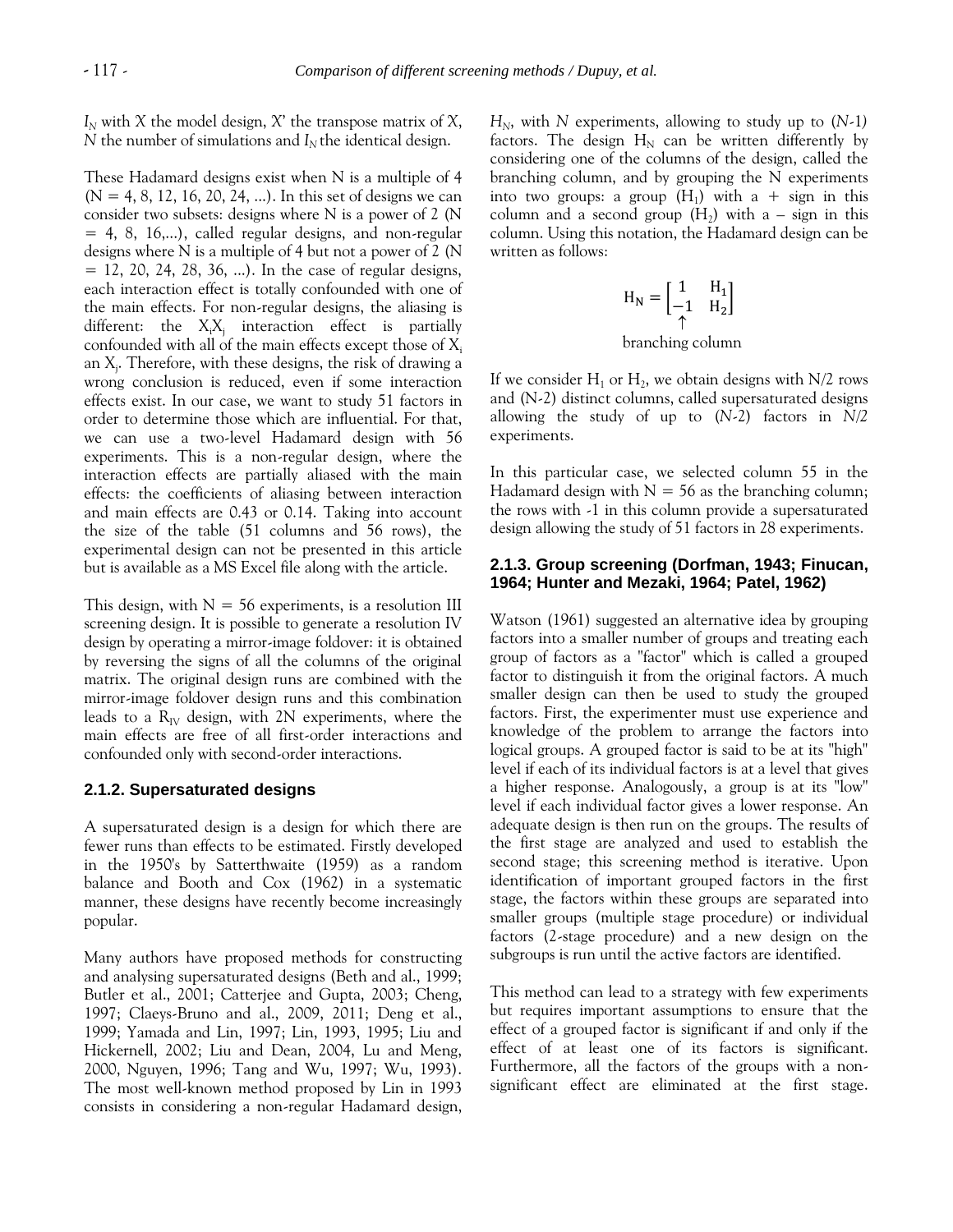*I<sup>N</sup>* with *X* the model design, *X*' the transpose matrix of *X*, *N* the number of simulations and  $I<sub>N</sub>$  the identical design.

These Hadamard designs exist when N is a multiple of 4  $(N = 4, 8, 12, 16, 20, 24, ...)$ . In this set of designs we can consider two subsets: designs where N is a power of 2 (N  $= 4, 8, 16,...$ , called regular designs, and non-regular designs where N is a multiple of 4 but not a power of 2 (N  $= 12, 20, 24, 28, 36, ...$ . In the case of regular designs, each interaction effect is totally confounded with one of the main effects. For non-regular designs, the aliasing is different: the  $X_iX_j$  interaction effect is partially confounded with all of the main effects except those of  $X_i$ an X<sub>j</sub>. Therefore, with these designs, the risk of drawing a wrong conclusion is reduced, even if some interaction effects exist. In our case, we want to study 51 factors in order to determine those which are influential. For that, we can use a two-level Hadamard design with 56 experiments. This is a non-regular design, where the interaction effects are partially aliased with the main effects: the coefficients of aliasing between interaction and main effects are 0.43 or 0.14. Taking into account the size of the table (51 columns and 56 rows), the experimental design can not be presented in this article but is available as a MS Excel file along with the article.

This design, with  $N = 56$  experiments, is a resolution III screening design. It is possible to generate a resolution IV design by operating a mirror-image foldover: it is obtained by reversing the signs of all the columns of the original matrix. The original design runs are combined with the mirror-image foldover design runs and this combination leads to a  $R_{IV}$  design, with 2N experiments, where the main effects are free of all first-order interactions and confounded only with second-order interactions.

#### **2.1.2. Supersaturated designs**

A supersaturated design is a design for which there are fewer runs than effects to be estimated. Firstly developed in the 1950's by Satterthwaite (1959) as a random balance and Booth and Cox (1962) in a systematic manner, these designs have recently become increasingly popular.

Many authors have proposed methods for constructing and analysing supersaturated designs (Beth and al., 1999; Butler et al., 2001; Catterjee and Gupta, 2003; Cheng, 1997; Claeys-Bruno and al., 2009, 2011; Deng et al., 1999; Yamada and Lin, 1997; Lin, 1993, 1995; Liu and Hickernell, 2002; Liu and Dean, 2004, Lu and Meng, 2000, Nguyen, 1996; Tang and Wu, 1997; Wu, 1993). The most well-known method proposed by Lin in 1993 consists in considering a non-regular Hadamard design, *HN*, with *N* experiments, allowing to study up to (*N*-1*)* factors. The design  $H_N$  can be written differently by considering one of the columns of the design, called the branching column, and by grouping the N experiments into two groups: a group  $(H_1)$  with a + sign in this column and a second group  $(H_2)$  with a – sign in this column. Using this notation, the Hadamard design can be written as follows:

$$
H_N = \begin{bmatrix} 1 & H_1 \\ -1 & H_2 \end{bmatrix}
$$
  
branching column

If we consider  $H_1$  or  $H_2$ , we obtain designs with N/2 rows and (N-2) distinct columns, called supersaturated designs allowing the study of up to (*N*-2) factors in *N/2* experiments.

In this particular case, we selected column 55 in the Hadamard design with  $N = 56$  as the branching column; the rows with -1 in this column provide a supersaturated design allowing the study of 51 factors in 28 experiments.

## **2.1.3. Group screening (Dorfman, 1943; Finucan, 1964; Hunter and Mezaki, 1964; Patel, 1962)**

Watson (1961) suggested an alternative idea by grouping factors into a smaller number of groups and treating each group of factors as a "factor" which is called a grouped factor to distinguish it from the original factors. A much smaller design can then be used to study the grouped factors. First, the experimenter must use experience and knowledge of the problem to arrange the factors into logical groups. A grouped factor is said to be at its "high" level if each of its individual factors is at a level that gives a higher response. Analogously, a group is at its "low" level if each individual factor gives a lower response. An adequate design is then run on the groups. The results of the first stage are analyzed and used to establish the second stage; this screening method is iterative. Upon identification of important grouped factors in the first stage, the factors within these groups are separated into smaller groups (multiple stage procedure) or individual factors (2-stage procedure) and a new design on the subgroups is run until the active factors are identified.

This method can lead to a strategy with few experiments but requires important assumptions to ensure that the effect of a grouped factor is significant if and only if the effect of at least one of its factors is significant. Furthermore, all the factors of the groups with a nonsignificant effect are eliminated at the first stage.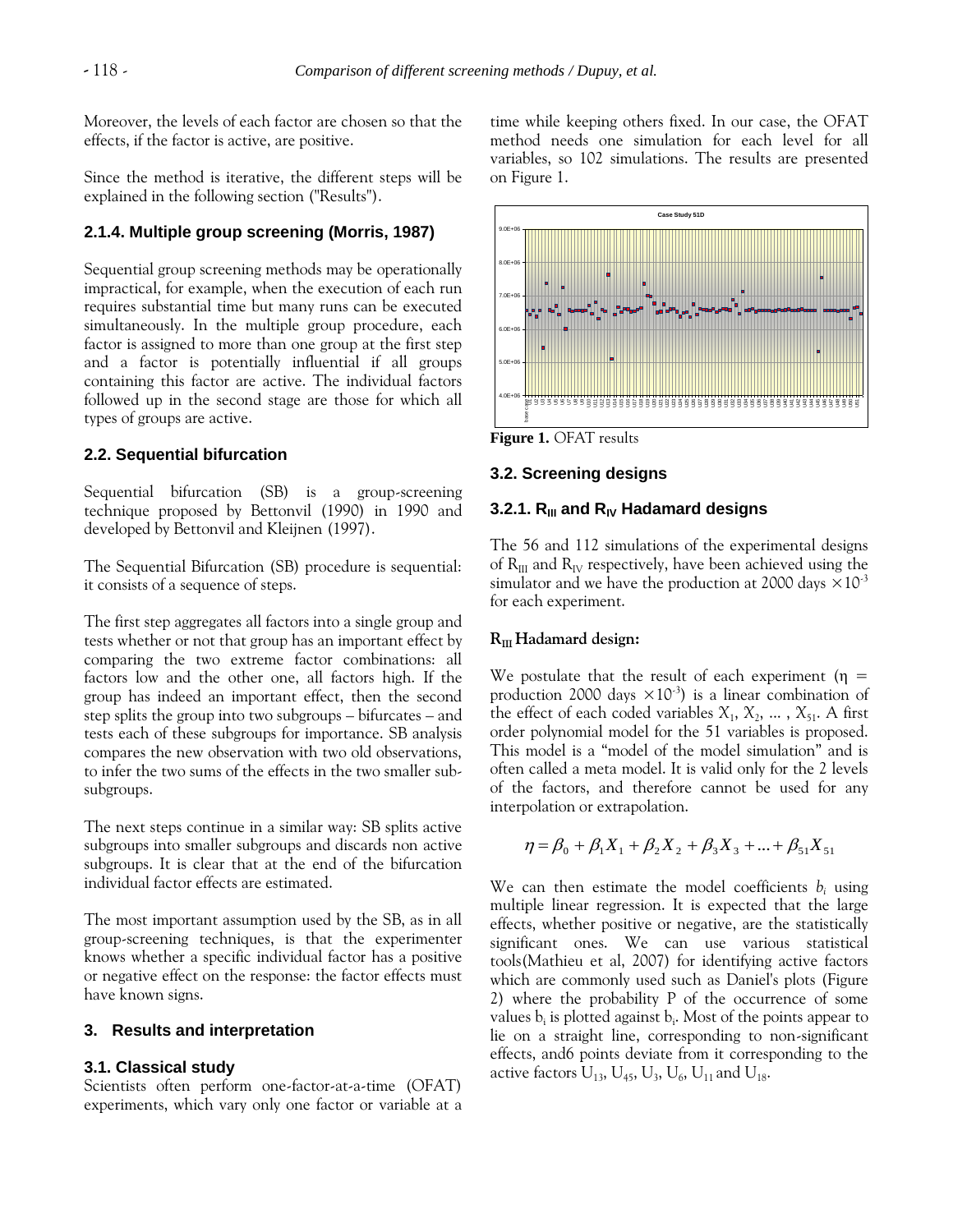Moreover, the levels of each factor are chosen so that the effects, if the factor is active, are positive.

Since the method is iterative, the different steps will be explained in the following section ("Results").

## **2.1.4. Multiple group screening (Morris, 1987)**

Sequential group screening methods may be operationally impractical, for example, when the execution of each run requires substantial time but many runs can be executed simultaneously. In the multiple group procedure, each factor is assigned to more than one group at the first step and a factor is potentially influential if all groups containing this factor are active. The individual factors followed up in the second stage are those for which all types of groups are active.

#### **2.2. Sequential bifurcation**

Sequential bifurcation (SB) is a group-screening technique proposed by Bettonvil (1990) in 1990 and developed by Bettonvil and Kleijnen (1997).

The Sequential Bifurcation (SB) procedure is sequential: it consists of a sequence of steps.

The first step aggregates all factors into a single group and tests whether or not that group has an important effect by comparing the two extreme factor combinations: all factors low and the other one, all factors high. If the group has indeed an important effect, then the second step splits the group into two subgroups – bifurcates – and tests each of these subgroups for importance. SB analysis compares the new observation with two old observations, to infer the two sums of the effects in the two smaller subsubgroups.

The next steps continue in a similar way: SB splits active subgroups into smaller subgroups and discards non active subgroups. It is clear that at the end of the bifurcation individual factor effects are estimated.

The most important assumption used by the SB, as in all group-screening techniques, is that the experimenter knows whether a specific individual factor has a positive or negative effect on the response: the factor effects must have known signs.

#### **3. Results and interpretation**

#### **3.1. Classical study**

Scientists often perform one-factor-at-a-time (OFAT) experiments, which vary only one factor or variable at a time while keeping others fixed. In our case, the OFAT method needs one simulation for each level for all variables, so 102 simulations. The results are presented on Figure 1.



**Figure 1.** OFAT results

## **3.2. Screening designs**

## **3.2.1. RIII and RIV Hadamard designs**

The 56 and 112 simulations of the experimental designs of  $R_{III}$  and  $R_{IV}$  respectively, have been achieved using the simulator and we have the production at 2000 days  $\times 10^{-3}$ for each experiment.

#### **RIII Hadamard design:**

We postulate that the result of each experiment ( $\eta$  = production 2000 days  $\times 10^{-3}$ ) is a linear combination of the effect of each coded variables  $X_1, X_2, \ldots, X_{51}$ . A first order polynomial model for the 51 variables is proposed. This model is a "model of the model simulation" and is often called a meta model. It is valid only for the 2 levels of the factors, and therefore cannot be used for any interpolation or extrapolation.

$$
\eta = \beta_0 + \beta_1 X_1 + \beta_2 X_2 + \beta_3 X_3 + \dots + \beta_{51} X_{51}
$$

We can then estimate the model coefficients  $b_i$  using multiple linear regression. It is expected that the large effects, whether positive or negative, are the statistically significant ones. We can use various statistical tools(Mathieu et al, 2007) for identifying active factors which are commonly used such as Daniel's plots (Figure 2) where the probability P of the occurrence of some values b<sub>i</sub> is plotted against b<sub>i</sub>. Most of the points appear to lie on a straight line, corresponding to non-significant effects, and6 points deviate from it corresponding to the active factors  $\rm U_{13},$   $\rm U_{45},$   $\rm U_{3},$   $\rm U_{6},$   $\rm U_{11}$  and  $\rm U_{18}.$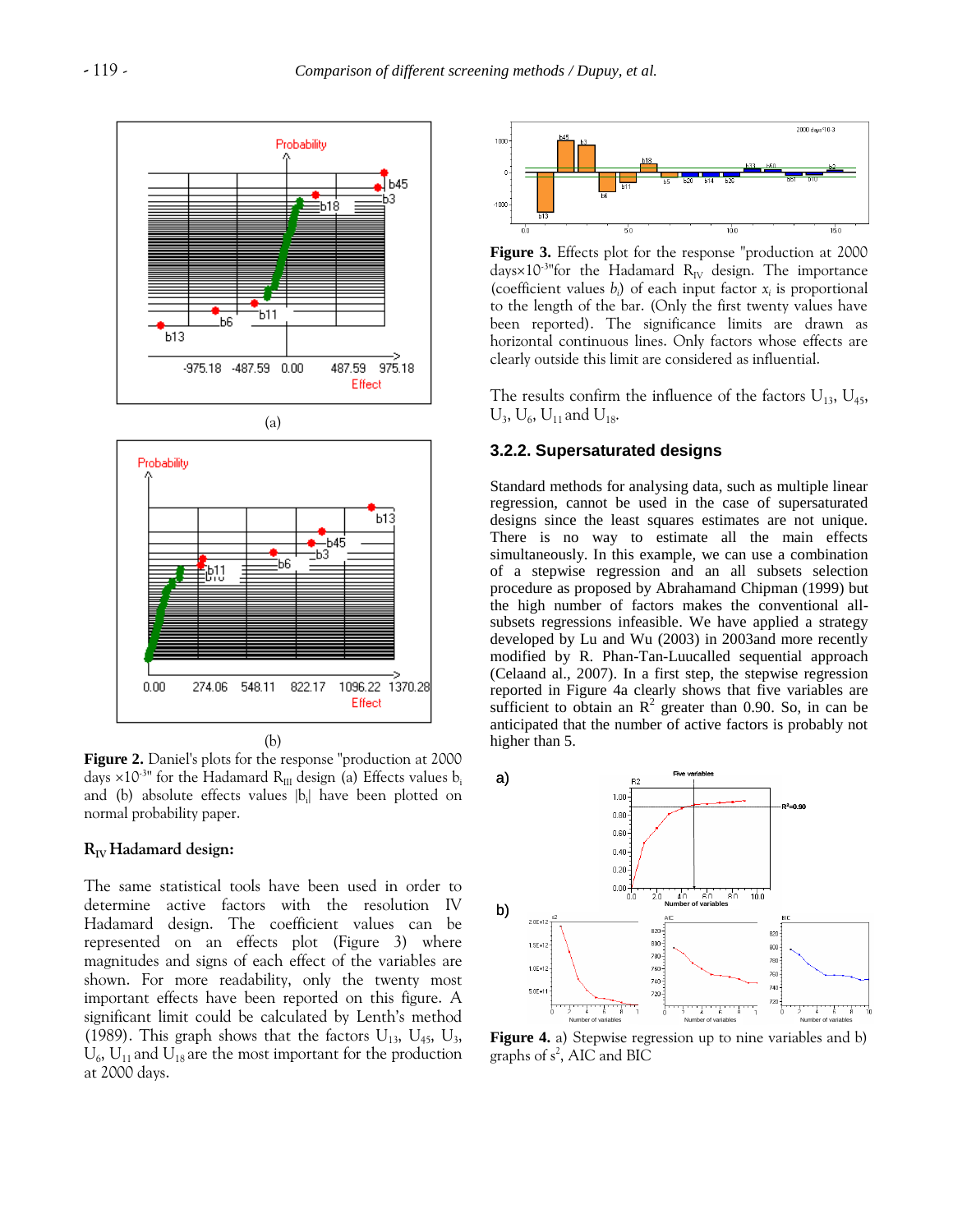

**Figure 2.** Daniel's plots for the response "production at 2000 days  $\times 10^{-3}$ " for the Hadamard R<sub>III</sub> design (a) Effects values b<sub>i</sub> and (b) absolute effects values  $|b_i|$  have been plotted on normal probability paper.

#### **RIV Hadamard design:**

The same statistical tools have been used in order to determine active factors with the resolution IV Hadamard design. The coefficient values can be represented on an effects plot (Figure 3) where magnitudes and signs of each effect of the variables are shown. For more readability, only the twenty most important effects have been reported on this figure. A significant limit could be calculated by Lenth's method (1989). This graph shows that the factors  $U_{13}$ ,  $U_{45}$ ,  $U_{3}$ ,  $U_6$ ,  $U_{11}$  and  $U_{18}$  are the most important for the production at 2000 days.



**Figure 3.** Effects plot for the response "production at 2000 days $\times10^{-3}$ "for the Hadamard R<sub>IV</sub> design. The importance (coefficient values  $b_i$ ) of each input factor  $x_i$  is proportional to the length of the bar. (Only the first twenty values have been reported). The significance limits are drawn as horizontal continuous lines. Only factors whose effects are clearly outside this limit are considered as influential.

The results confirm the influence of the factors  $U_{13}$ ,  $U_{45}$ ,  $U_3$ ,  $U_6$ ,  $U_{11}$  and  $U_{18}$ .

## **3.2.2. Supersaturated designs**

Standard methods for analysing data, such as multiple linear regression, cannot be used in the case of supersaturated designs since the least squares estimates are not unique. There is no way to estimate all the main effects simultaneously. In this example, we can use a combination of a stepwise regression and an all subsets selection procedure as proposed by Abrahamand Chipman (1999) but the high number of factors makes the conventional allsubsets regressions infeasible. We have applied a strategy developed by Lu and Wu (2003) in 2003and more recently modified by R. Phan-Tan-Luucalled sequential approach (Celaand al., 2007). In a first step, the stepwise regression reported in Figure 4a clearly shows that five variables are sufficient to obtain an  $\mathbb{R}^2$  greater than 0.90. So, in can be anticipated that the number of active factors is probably not higher than 5.



**Figure 4.** a) Stepwise regression up to nine variables and b) graphs of s<sup>2</sup>, AIC and BIC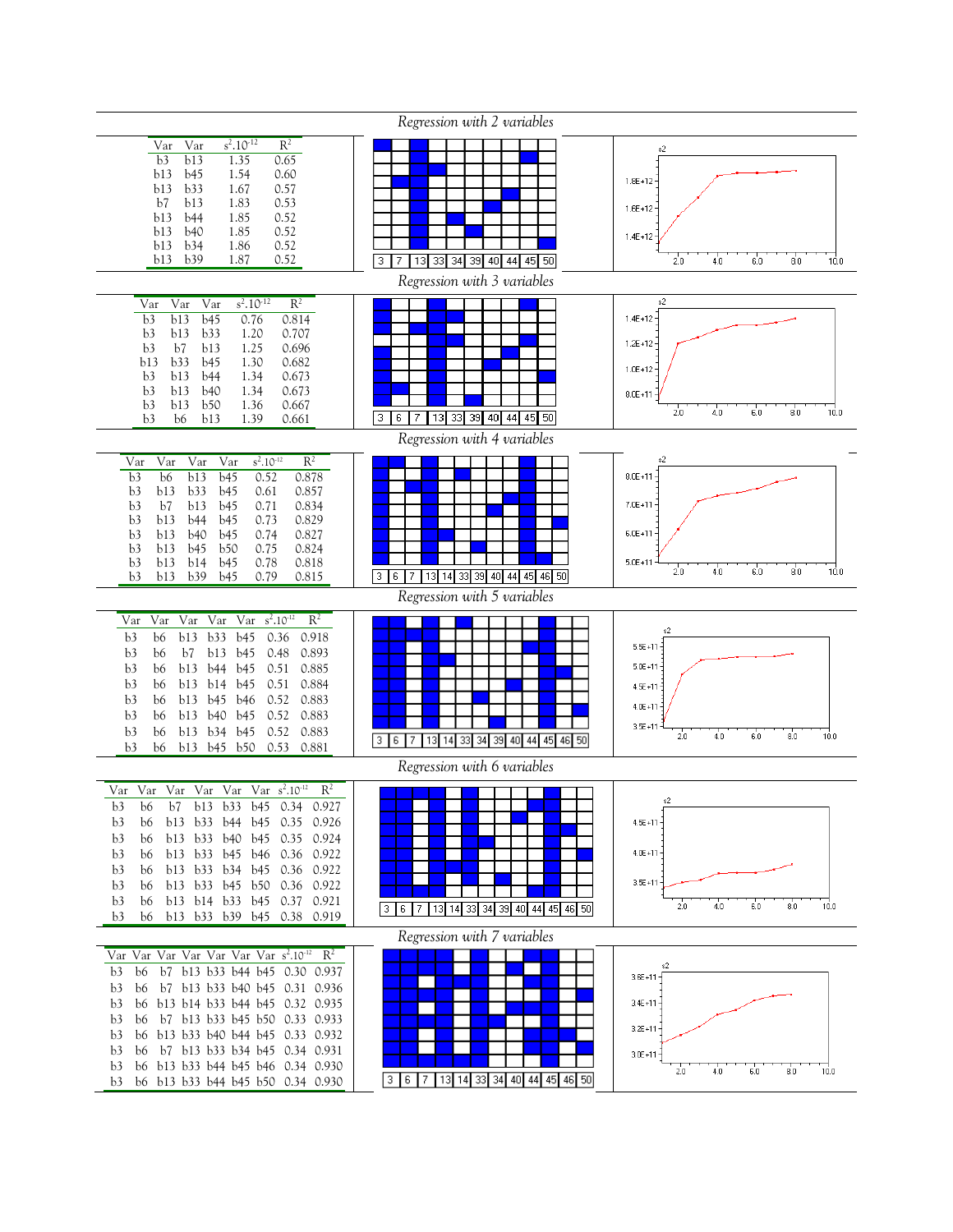|                                                                                                                                                                                                                                                                                                                                                                                                                                                                                                                            | Regression with 2 variables         |                                                                                                             |
|----------------------------------------------------------------------------------------------------------------------------------------------------------------------------------------------------------------------------------------------------------------------------------------------------------------------------------------------------------------------------------------------------------------------------------------------------------------------------------------------------------------------------|-------------------------------------|-------------------------------------------------------------------------------------------------------------|
| $s^2.10^{-12}$<br>$R^2$<br>Var<br>Var<br>b3<br>b13<br>1.35<br>0.65<br>b13<br>b45<br>1.54<br>0.60<br>b33<br>0.57<br>b13<br>1.67<br>0.53<br>b7<br>b13<br>1.83<br>0.52<br>b13<br>b44<br>1.85<br>0.52<br>b13<br>b40<br>1.85<br>1.86<br>0.52<br>b13<br>b34<br>b13<br>b39<br>1.87<br>0.52                                                                                                                                                                                                                                        | 13 33 34 39 40 44 45 50<br>3 7      | s2<br>$1.8E + 12$<br>$1.6E + 12$<br>$1.4E + 12$<br>2.0<br>6.0<br>8.0<br>10.0<br>4.0                         |
|                                                                                                                                                                                                                                                                                                                                                                                                                                                                                                                            | Regression with 3 variables         |                                                                                                             |
| $s^2.10^{-12}$<br>$R^2$<br>Var<br>$\operatorname{Var}$<br>Var<br>b13<br>b45<br>0.76<br>0.814<br>b3<br>0.707<br>b3<br>b13<br>b33<br>1.20<br>b7<br>0.696<br>b3<br>b13<br>1.25<br>b33<br>0.682<br>b13<br>b45<br>1.30<br>0.673<br>b3<br>b13<br><b>b44</b><br>1.34<br>0.673<br>b3<br>b13<br><b>b40</b><br>1.34<br>0.667<br>b3<br>b13<br>b50<br>1.36<br>0.661<br>b3<br>b6<br>b13<br>1.39                                                                                                                                         | 3 6 7 13 33 39 40 44 45 50          | s2<br>$1.4E + 12 -$<br>$1.2E + 12 -$<br>$1.0E + 12$<br>$8.0E + 11$<br>2.0<br>6.0<br>8.0<br>4.0<br>10.0      |
|                                                                                                                                                                                                                                                                                                                                                                                                                                                                                                                            | Regression with 4 variables         |                                                                                                             |
| $R^2$<br>$s^2.10^{-12}$<br>Var<br>Var<br>Var<br>Var<br>0.878<br>b13<br>0.52<br>b3<br>b6<br>b45<br>b33<br>0.857<br>b3<br>b13<br>b45<br>0.61<br>b13<br>0.71<br>0.834<br>b3<br>b7<br>b45<br>0.829<br>b3<br><b>b44</b><br>b45<br>0.73<br>b13<br><b>b40</b><br>0.74<br>0.827<br>b3<br>b13<br>b45<br>0.824<br>b3<br>b13<br>b45<br>b50<br>0.75<br>0.818<br>b13<br>b14<br>b45<br>0.78<br>b3<br>b3<br>b39<br>b45<br>0.79<br>0.815<br>b13                                                                                            | 3 6 7 13 14 33 39 40 44 45 46 50    | s2<br>$8.0E + 11 -$<br>$7.0E + 11$<br>$6.0E + 11$<br>$5.0E + 11$<br>2.0<br>6.0<br>8.0<br>4.0<br>10.0        |
|                                                                                                                                                                                                                                                                                                                                                                                                                                                                                                                            | Regression with 5 variables         |                                                                                                             |
| $R^2$<br>Var Var Var Var s <sup>2</sup> .10 <sup>-12</sup><br>Var<br>b33<br>b45<br>0.36<br>0.918<br>b3<br>b6<br>b13<br>b3<br>b7<br>b13 b45<br>0.48<br>0.893<br>b6<br>0.885<br>b3<br>b6<br>b13<br>b <sub>44</sub> b <sub>45</sub><br>0.51<br>b3<br>b13<br>b14 b45<br>0.51<br>0.884<br>b6<br>0.883<br>b3<br>b13<br>b <sub>45</sub> b <sub>46</sub><br>0.52<br>b6<br>0.883<br>b3<br>b13<br>b <sub>40</sub> b <sub>45</sub><br>0.52<br>b6<br>0.52<br>0.883<br>b3<br>b13 b34 b45<br>b6<br>0.53 0.881<br>b13 b45 b50<br>b3<br>b6 | 3 6 7 13 14 33 34 39 40 44 45 46 50 | $5.5E + 11$<br>$5.0E + 11$<br>$4.5E + 11$<br>$4.0E + 11$<br>$3.5E + 11$<br>6.0<br>8.0<br>2.0<br>4.0<br>10.0 |
|                                                                                                                                                                                                                                                                                                                                                                                                                                                                                                                            | Regression with 6 variables         |                                                                                                             |
| Var Var Var Var Var Var s <sup>2</sup> .10 <sup>-12</sup><br>$R^2$<br>b3 b6 b7 b13 b33 b45 0.34 0.927<br>b13 b33 b44 b45 0.35 0.926<br>b3<br>b6<br>b13 b33 b40 b45 0.35 0.924<br>b3<br>b6<br>b13 b33 b45 b46 0.36 0.922<br>b3<br>b6<br>b13 b33 b34 b45 0.36 0.922<br>b3<br>b6<br>b13 b33 b45 b50 0.36 0.922<br>b3<br>b6<br>b3<br>b13 b14 b33 b45 0.37 0.921<br>b6<br>b13 b33 b39 b45 0.38 0.919<br>b3<br>b6                                                                                                                | 3 6 7 13 14 33 34 39 40 44 45 46 50 | s2<br>$4.5E + 11$<br>$4.0E + 11$<br>$3.5E + 11$<br>2.0<br>4.0<br>6.0<br>10.0<br>8.0                         |
|                                                                                                                                                                                                                                                                                                                                                                                                                                                                                                                            | Regression with 7 variables         |                                                                                                             |
| Var Var Var Var Var Var s <sup>2</sup> .10 <sup>-12</sup> R <sup>2</sup><br>b6 b7 b13 b33 b44 b45 0.30 0.937<br>b <sub>3</sub><br>b3 b6 b7 b13 b33 b40 b45 0.31 0.936<br>b6 b13 b14 b33 b44 b45 0.32 0.935<br>b3<br>b6 b7 b13 b33 b45 b50 0.33 0.933<br>b3<br>b6 b13 b33 b40 b44 b45 0.33 0.932<br>b3<br>b6 b7 b13 b33 b34 b45 0.34 0.931<br>b3<br>b6 b13 b33 b44 b45 b46 0.34 0.930<br>b3<br>b3 b6 b13 b33 b44 b45 b50 0.34 0.930                                                                                         | 3 6 7 13 14 33 34 40 44 45 46 50    | $3.6E + 11$<br>$3.4E + 11$<br>$3.2E + 11$<br>$3.0E + 11$<br>6.0<br>2.0<br>8.0<br>10.0<br>4.0                |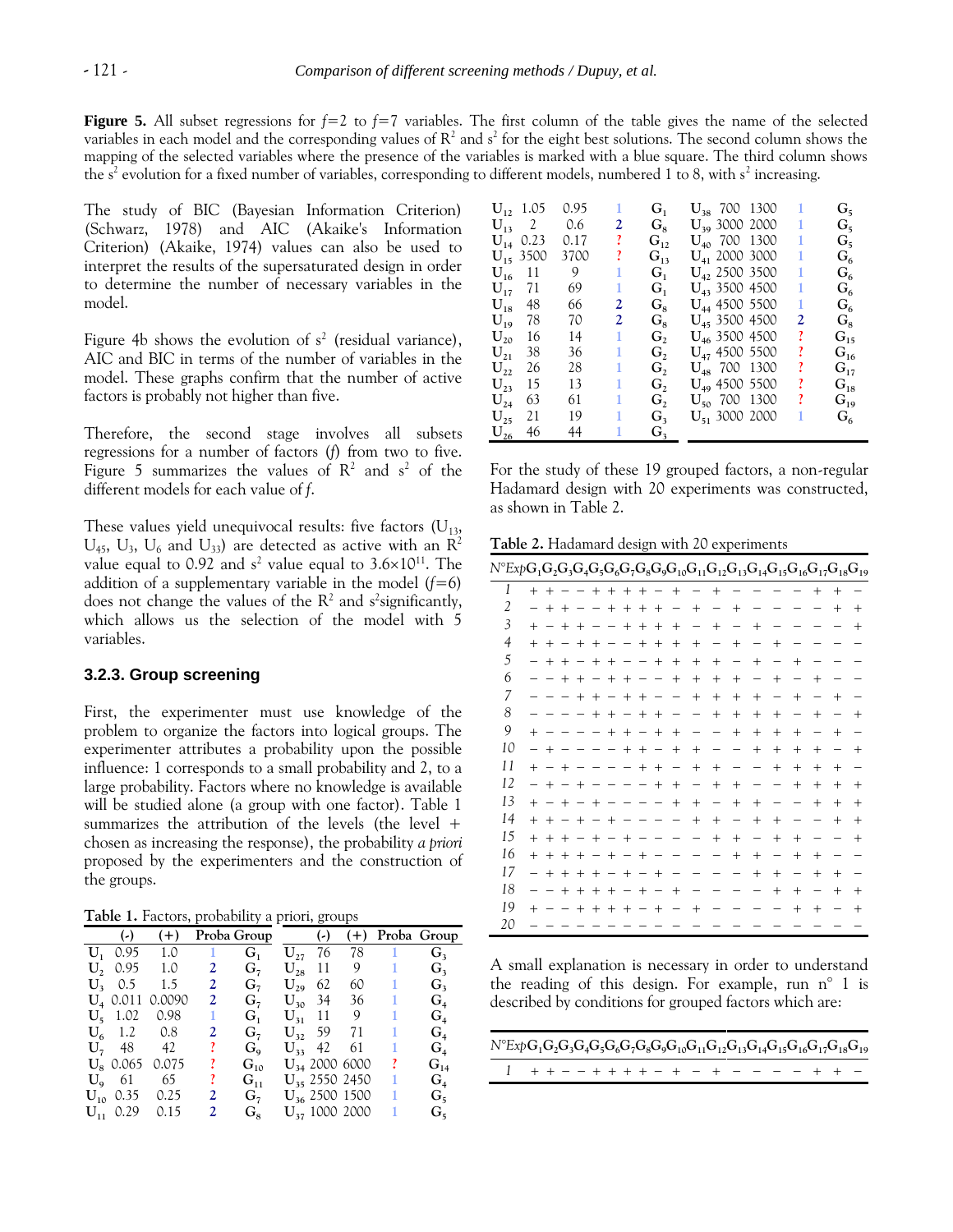**Figure 5.** All subset regressions for  $f=2$  to  $f=7$  variables. The first column of the table gives the name of the selected variables in each model and the corresponding values of  $R^2$  and s<sup>2</sup> for the eight best solutions. The second column shows the mapping of the selected variables where the presence of the variables is marked with a blue square. The third column shows the s<sup>2</sup> evolution for a fixed number of variables, corresponding to different models, numbered 1 to 8, with s<sup>2</sup> increasing.

The study of BIC (Bayesian Information Criterion) (Schwarz, 1978) and AIC (Akaike's Information Criterion) (Akaike, 1974) values can also be used to interpret the results of the supersaturated design in order to determine the number of necessary variables in the model.

Figure 4b shows the evolution of  $s^2$  (residual variance), AIC and BIC in terms of the number of variables in the model. These graphs confirm that the number of active factors is probably not higher than five.

Therefore, the second stage involves all subsets regressions for a number of factors (*f*) from two to five. Figure 5 summarizes the values of  $R^2$  and  $s^2$  of the different models for each value of *f*.

These values yield unequivocal results: five factors  $(U_{13},$  $\rm U_{45},~\rm U_{3},~\rm U_{6}$  and  $\rm U_{33})$  are detected as active with an  $\rm R^2$ value equal to 0.92 and  $s^2$  value equal to 3.6 $\times$ 10<sup>11</sup>. The addition of a supplementary variable in the model  $(f=6)$ does not change the values of the  $R^2$  and s<sup>2</sup> significantly, which allows us the selection of the model with 5 variables.

## **3.2.3. Group screening**

First, the experimenter must use knowledge of the problem to organize the factors into logical groups. The experimenter attributes a probability upon the possible influence: 1 corresponds to a small probability and 2, to a large probability. Factors where no knowledge is available will be studied alone (a group with one factor). Table 1 summarizes the attribution of the levels (the level  $+$ chosen as increasing the response), the probability *a priori* proposed by the experimenters and the construction of the groups.

**Table 1.** Factors, probability a priori, groups

|                   | $(-)$ $(+)$      |              | Proba Group (-) |                   |                |                    |              | $(+)$ Proba Group |
|-------------------|------------------|--------------|-----------------|-------------------|----------------|--------------------|--------------|-------------------|
|                   | $U_1$ 0.95 1.0 1 |              | $G_{1}$         |                   | $U_{27}$ 76    |                    | 78 1         | G <sub>3</sub>    |
| U, 0.95 1.0       |                  | 2            | G <sub>7</sub>  |                   | $U_{28}$ 11    | 9                  | $1 -$        | $G_{3}$           |
| $U_3$ 0.5 1.5     |                  | $\mathbf{2}$ | $G_7$           | $\mathbf{U}_{29}$ | 62             | 60 —               | $1 -$        | $G_3$             |
| $U_4$ 0.011       | 0.0090           | $\mathbf{2}$ | $G_7$           |                   | $U_{30}$ 34    | 36                 | $\mathbf{1}$ | $G_{4}$           |
| $U_5$ 1.02        | 0.98             | 1            | $G_i$           |                   |                | $U_{31}$ 11 9      | $\mathbf{1}$ | G <sub>4</sub>    |
| $U_6$ 1.2 0.8     |                  | 2            | G <sub>7</sub>  |                   | $U_{32}$ 59 71 |                    | 1            | G <sub>4</sub>    |
| $U_7$ 48 42       |                  | ı            | $G_{\rm o}$     |                   | $U_{33}$ 42    | 61                 | 1            | G <sub>4</sub>    |
| $U_{8}$ 0.065     | 0.075            | ı            | $G_{10}$        |                   |                | $U_{34}$ 2000 6000 | <sup>2</sup> | $G_{14}$          |
| $U_{\rm q}$ 61 65 |                  | ı            | $G_{11}$        |                   |                | $U_{35}$ 2550 2450 | 1            | $G_{4}$           |
| $U_{10}$ 0.35     | 0.25             | 2            | $G_7$           |                   |                | $U_{36}$ 2500 1500 | 1            | $G_5$             |
| $U_{11}$ 0.29     | 0.15             | 2            | $G_{8}$         |                   |                | $U_{37}$ 1000 2000 |              | $G_5$             |

|                   | $U_1$ , 1.05  | 0.95 | 1 | $G_{1}$     | $U_{38}$ 700 1300  |   | $G_5$        |
|-------------------|---------------|------|---|-------------|--------------------|---|--------------|
|                   | $U_{13}$ 2    | 0.6  | 2 | $G_{\rm s}$ | $U_{30}$ 3000 2000 | 1 | $G_{5}$      |
|                   | $U_{14}$ 0.23 | 0.17 | ı | $G_{12}$    | $U_{40}$ 700 1300  |   | $G_5$        |
|                   | $U_{15}$ 3500 | 3700 | ı | $G_{13}$    | $U_{41}$ 2000 3000 | 1 | $G_6$        |
| ${\rm U}_{_{16}}$ | -11           | 9    |   | $G_{1}$     | $U_{42}$ 2500 3500 | 1 | $G_{\kappa}$ |
| $U_{17}$          | 71            | 69   | 1 | $G_{1}$     | $U_{43}$ 3500 4500 | 1 | $G_6$        |
| ${\rm U}_{18}$    | 48            | 66   | 2 | $G_{8}$     | $U_{44}$ 4500 5500 | 1 | $G_{6}$      |
| ${\rm U}_{19}$    | 78            | 70   | 2 | $G_{8}$     | $U_{45}$ 3500 4500 | 2 | $G_{8}$      |
| $U_{20}$          | 16            | 14   | 1 | G,          | $U_{46}$ 3500 4500 | ? | $G_{15}$     |
| $\mathbf{U}_{21}$ | 38            | 36   | 1 | G,          | $U_{47}$ 4500 5500 | ı | $G_{16}$     |
| $U_{22}$          | 26            | 28   | 1 | G,          | $U_{48}$ 700 1300  | ? | $G_{17}$     |
| $U_{23}$          | 15            | 13   | 1 | G,          | $U_{49}$ 4500 5500 | ? | $G_{18}$     |
| $U_{24}$          | 63            | 61   | 1 | G,          | $U_{50}$ 700 1300  | ı | $G_{19}$     |
| $U_{25}$          | 21            | 19   | 1 | $G_{3}$     | $U_{51}$ 3000 2000 |   | $G_6$        |
| $U_{26}$ 46       |               | 44   |   | G,          |                    |   |              |

For the study of these 19 grouped factors, a non-regular Hadamard design with 20 experiments was constructed, as shown in Table 2.

**Table 2.** Hadamard design with 20 experiments

| $N^{\circ}E$ xp $\mathbf{G}_1\mathbf{G}_2\mathbf{G}_3\mathbf{G}_4\mathbf{G}_5\mathbf{G}_6\mathbf{G}_7\mathbf{G}_8\mathbf{G}_9\mathbf{G}_{10}\mathbf{G}_{11}\mathbf{G}_{12}\mathbf{G}_{13}\mathbf{G}_{14}\mathbf{G}_{15}\mathbf{G}_{16}\mathbf{G}_{17}\mathbf{G}_{18}\mathbf{G}_{19}$ |                          |                          |                                 |                          |                                 |                          |                                 |                                 |                                 |                                  |                          |                          |                          |                   |                                  |                          |                                  |        |        |
|--------------------------------------------------------------------------------------------------------------------------------------------------------------------------------------------------------------------------------------------------------------------------------------|--------------------------|--------------------------|---------------------------------|--------------------------|---------------------------------|--------------------------|---------------------------------|---------------------------------|---------------------------------|----------------------------------|--------------------------|--------------------------|--------------------------|-------------------|----------------------------------|--------------------------|----------------------------------|--------|--------|
| 1                                                                                                                                                                                                                                                                                    | $+ +$                    |                          |                                 |                          |                                 |                          |                                 | $- + + + + -$                   |                                 | $+$                              |                          | $+$                      |                          |                   |                                  |                          | $+$                              | $+$    |        |
| 2                                                                                                                                                                                                                                                                                    |                          | $+ +$                    |                                 | $\overline{\phantom{m}}$ | $\overline{\phantom{a}}$        |                          |                                 | $+ + + +$                       |                                 | $\qquad \qquad -$                | $+$                      | $\qquad \qquad -$        | $+$                      |                   |                                  |                          |                                  | $^{+}$ | $^{+}$ |
| 3                                                                                                                                                                                                                                                                                    | $^{+}$                   |                          | $- + +$                         |                          | $\overline{\phantom{a}}$        | $\overline{\phantom{a}}$ |                                 | $+ + +$                         |                                 | $+$                              | $\overline{\phantom{0}}$ | $+$                      | $\overline{\phantom{0}}$ | $^{+}$            |                                  |                          |                                  |        | $^{+}$ |
| $\overline{4}$                                                                                                                                                                                                                                                                       | $+$                      | $^{+}$                   | $- + +$                         |                          |                                 | $\overline{\phantom{m}}$ | $\hspace{0.1mm}-\hspace{0.1mm}$ |                                 | $+ +$                           | $+$                              | $+$                      | $\overline{\phantom{0}}$ | $+$                      | $\qquad \qquad -$ | $+$                              |                          |                                  |        |        |
| 5                                                                                                                                                                                                                                                                                    |                          | $+ +$                    |                                 | $- +$                    |                                 | $+$                      | $\overline{\phantom{a}}$        | $\overline{\phantom{a}}$        | $+$                             | $+$                              | $^{+}$                   | $+$                      |                          | $+$               | $\overbrace{\phantom{12322111}}$ | $^{+}$                   |                                  |        |        |
| 6                                                                                                                                                                                                                                                                                    |                          | $\overline{\phantom{0}}$ |                                 |                          | $+ + - + +$                     |                          |                                 | $\hspace{0.1mm}-\hspace{0.1mm}$ | $\overline{\phantom{a}}$        | $+$                              | $^{+}$                   | $+$                      | $+$                      | $\qquad \qquad -$ | $+$                              | $\qquad \qquad -$        | $^{+}$                           |        |        |
| 7                                                                                                                                                                                                                                                                                    |                          |                          | $\qquad \qquad -$               |                          | $+ + - + +$                     |                          |                                 |                                 | $\overbrace{\phantom{1232211}}$ |                                  | $^{+}$                   | $^{+}$                   | $^{+}$                   | $+$               |                                  | $^{+}$                   | $\overbrace{\phantom{12322111}}$ | $^{+}$ |        |
| 8                                                                                                                                                                                                                                                                                    |                          |                          |                                 | $\overline{\phantom{m}}$ |                                 |                          |                                 | $+ + - + +$                     |                                 | $\overbrace{\phantom{12322111}}$ |                          | $+$                      | $+$                      | $+$               | $+$                              |                          | $^{+}$                           |        | $^{+}$ |
| 9                                                                                                                                                                                                                                                                                    | $+$                      |                          |                                 |                          | $\overline{\phantom{a}}$        |                          |                                 | $+ + - +$                       |                                 | $+$                              | $\overline{\phantom{0}}$ | —                        | $^{+}$                   | $+$               | $+$                              | $^{+}$                   |                                  | $^{+}$ |        |
| 10                                                                                                                                                                                                                                                                                   |                          | $^{+}$                   | $\overline{\phantom{a}}$        |                          |                                 | $\qquad \qquad -$        |                                 | $+$ +                           | $\hspace{0.1mm}-\hspace{0.1mm}$ | $+$                              | $+$                      | —                        | —                        | $+$               | $+$                              | $^{+}$                   | $^{+}$                           |        | $^{+}$ |
| 11                                                                                                                                                                                                                                                                                   | $^{+}$                   | $- +$                    |                                 | $\overline{\phantom{a}}$ | $\overline{\phantom{a}}$        |                          | $\overline{\phantom{m}}$        | $^{+}$                          | $+$                             | $\overline{\phantom{m}}$         | $^{+}$                   | $^{+}$                   |                          |                   | $^{+}$                           | $+$                      | $^{+}$                           | $^{+}$ |        |
| 12                                                                                                                                                                                                                                                                                   | $\overline{\phantom{0}}$ | $+$                      | $- +$                           |                          | $\overline{\phantom{m}}$        |                          |                                 | $\overline{\phantom{a}}$        | $^{+}$                          | $+$                              | $\qquad \qquad -$        | $+$                      | $+$                      |                   |                                  | $^{+}$                   | $+$                              | $^{+}$ | $^{+}$ |
| 13                                                                                                                                                                                                                                                                                   | $^{+}$                   | $- +$                    |                                 | $- +$                    |                                 | $\qquad \qquad$          |                                 |                                 |                                 | $+$                              | $+$                      |                          | $+$                      | $^{+}$            |                                  |                          | $^{+}$                           | $^{+}$ | $^{+}$ |
| 14                                                                                                                                                                                                                                                                                   | $^{+}$                   | $+$                      | $- +$                           |                          | $\hspace{0.1mm}-\hspace{0.1mm}$ | $+$                      |                                 |                                 |                                 | $\qquad \qquad -$                | $+$                      | $^{+}$                   | $\overline{\phantom{0}}$ | $+$               | $+$                              |                          |                                  | $^{+}$ | $^{+}$ |
| 15                                                                                                                                                                                                                                                                                   | $^{+}$                   |                          |                                 |                          | $+ + - + - +$                   |                          |                                 | $\overline{\phantom{0}}$        |                                 |                                  |                          | $^{+}$                   | $+$                      | $\qquad \qquad -$ | $+$                              | $^{+}$                   |                                  |        | $^+$   |
| 16                                                                                                                                                                                                                                                                                   | $^{+}$                   |                          | $+ + +$                         |                          | $- + - +$                       |                          |                                 |                                 |                                 |                                  |                          |                          | $+$                      | $^{+}$            | $\qquad \qquad -$                | $^{+}$                   | $^{+}$                           |        |        |
| 17                                                                                                                                                                                                                                                                                   | $\overline{\phantom{0}}$ | $^{+}$                   | $+ + +$                         |                          |                                 | $- +$                    |                                 | $\hspace{0.1mm}-\hspace{0.1mm}$ | $+$                             |                                  |                          |                          |                          | $^{+}$            | $+$                              | $\overline{\phantom{0}}$ | $+$                              | $+$    |        |
| 18                                                                                                                                                                                                                                                                                   |                          | $\overline{\phantom{0}}$ |                                 |                          | $+ + + + - +$                   |                          |                                 |                                 | $\hspace{0.1mm}-\hspace{0.1mm}$ | $+$                              |                          |                          |                          |                   | $+$                              | $^{+}$                   | $\qquad \qquad -$                | $^{+}$ | $^{+}$ |
| 19                                                                                                                                                                                                                                                                                   | $^{+}$                   |                          | $\hspace{0.1mm}-\hspace{0.1mm}$ |                          | $+ + + +$                       |                          |                                 | $\hspace{0.1mm}-\hspace{0.1mm}$ | $+$                             | $\overbrace{\phantom{12322111}}$ | $^{+}$                   |                          |                          |                   |                                  | $^{+}$                   | $^{+}$                           |        | $^{+}$ |
| 20                                                                                                                                                                                                                                                                                   |                          |                          |                                 |                          |                                 |                          |                                 |                                 |                                 |                                  |                          |                          |                          |                   |                                  |                          |                                  |        |        |

A small explanation is necessary in order to understand the reading of this design. For example, run n° 1 is described by conditions for grouped factors which are:

| $N^{o}ExpG_1G_2G_3G_4G_5G_6G_7G_8G_9G_{10}G_{11}G_{12}G_{13}G_{14}G_{15}G_{16}G_{17}G_{18}G_{19}$ |  |  |  |  |  |  |  |  |  |  |
|---------------------------------------------------------------------------------------------------|--|--|--|--|--|--|--|--|--|--|
| 1 + + - - + + + + - + - + - - - - + + -                                                           |  |  |  |  |  |  |  |  |  |  |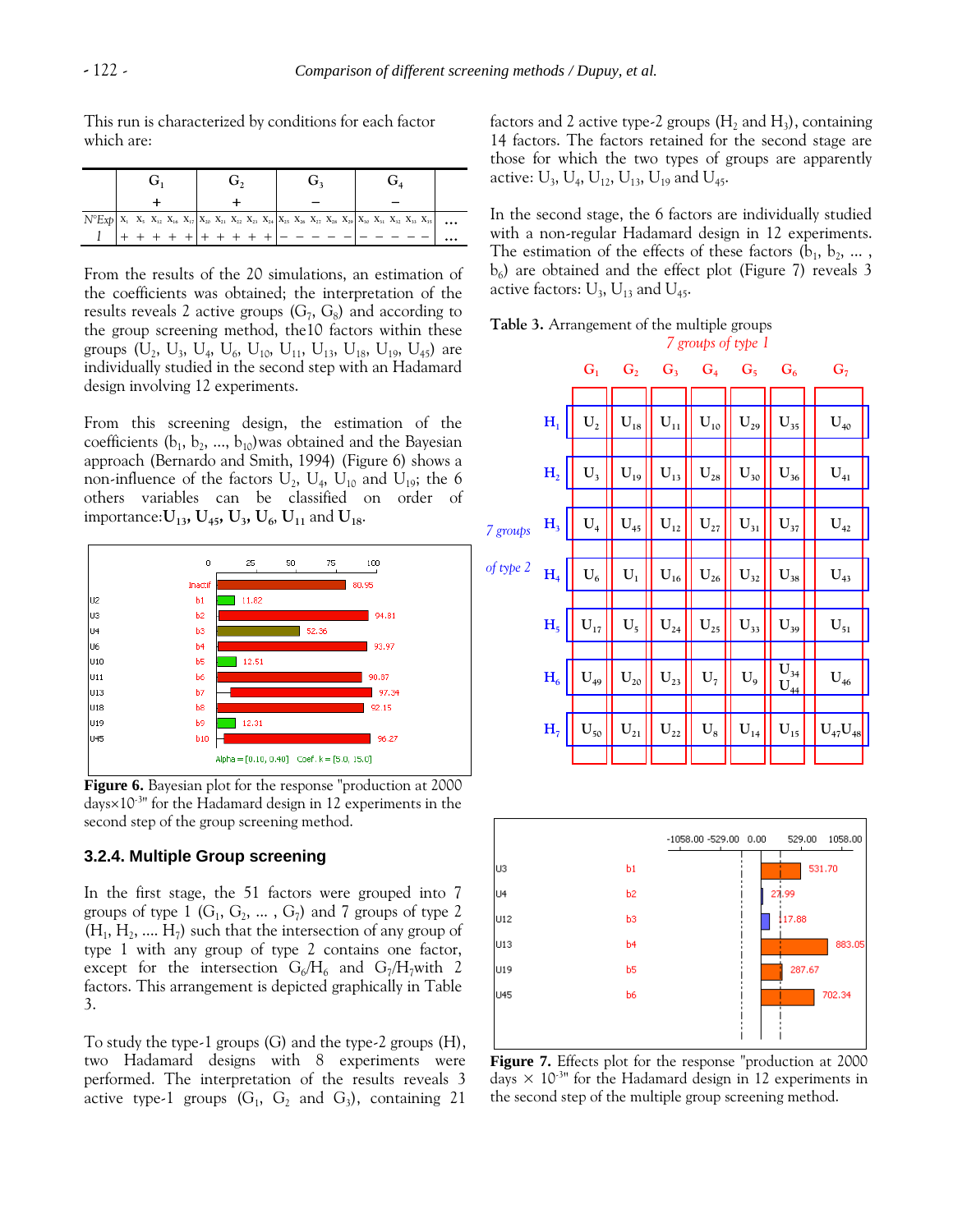This run is characterized by conditions for each factor which are:

| $N^{o}Exp \mid X_1 X_5 X_{12} X_{16} X_{17} \mid X_{20} X_{21} X_{22} X_{23} X_{24} \mid X_{25} X_{26} X_{27} X_{28} X_{29} \mid X_{30} X_{31} X_{32} X_{33} X_{35} \mid$ |  |  |  |  |  |  |  |  |  |  |  |  |  |  |  |  |  |  |  | $\ddots$ |
|---------------------------------------------------------------------------------------------------------------------------------------------------------------------------|--|--|--|--|--|--|--|--|--|--|--|--|--|--|--|--|--|--|--|----------|
|                                                                                                                                                                           |  |  |  |  |  |  |  |  |  |  |  |  |  |  |  |  |  |  |  |          |

From the results of the 20 simulations, an estimation of the coefficients was obtained; the interpretation of the results reveals 2 active groups  $(G_7, G_8)$  and according to the group screening method, the10 factors within these groups  $(U_2, U_3, U_4, U_6, U_{10}, U_{11}, U_{13}, U_{18}, U_{19}, U_{45})$  are individually studied in the second step with an Hadamard design involving 12 experiments.

From this screening design, the estimation of the coefficients  $(b_1, b_2, ..., b_{10})$ was obtained and the Bayesian approach (Bernardo and Smith, 1994) (Figure 6) shows a non-influence of the factors  $U_2$ ,  $U_4$ ,  $U_{10}$  and  $U_{19}$ ; the 6 others variables can be classified on order of importance: $U_{13}$ ,  $U_{45}$ ,  $U_{3}$ ,  $U_{6}$ ,  $U_{11}$  and  $U_{18}$ .



**Figure 6.** Bayesian plot for the response "production at 2000 days $\times10^{-3}$ " for the Hadamard design in 12 experiments in the second step of the group screening method.

## **3.2.4. Multiple Group screening**

In the first stage, the 51 factors were grouped into 7 groups of type  $1$  ( $G_1, G_2, ..., G_7$ ) and 7 groups of type 2  $(H_1, H_2, \dots, H_7)$  such that the intersection of any group of type 1 with any group of type 2 contains one factor, except for the intersection  $G_6/H_6$  and  $G_7/H_7$ with 2 factors. This arrangement is depicted graphically in Table 3.

To study the type-1 groups (G) and the type-2 groups (H), two Hadamard designs with 8 experiments were performed. The interpretation of the results reveals 3 active type-1 groups  $(G_1, G_2 \text{ and } G_3)$ , containing 21

factors and 2 active type-2 groups ( $\rm H_2$  and  $\rm H_3$ ), containing 14 factors. The factors retained for the second stage are those for which the two types of groups are apparently active:  $U_3$ ,  $U_4$ ,  $U_{12}$ ,  $U_{13}$ ,  $U_{19}$  and  $U_{45}$ .

In the second stage, the 6 factors are individually studied with a non-regular Hadamard design in 12 experiments. The estimation of the effects of these factors  $(b_1, b_2, \dots, b_n)$ b6 ) are obtained and the effect plot (Figure 7) reveals 3 active factors:  $\text{U}_\text{3}$ ,  $\text{U}_{\text{13}}$  and  $\text{U}_{\text{45}}$ .

**Table 3.** Arrangement of the multiple groups *7 groups of type 1*

|           |                | G <sub>1</sub>    |                   | $G_2$ $G_3$ $G_4$                    |                            | $G_5$             | $G_6$                         | G <sub>7</sub>    |
|-----------|----------------|-------------------|-------------------|--------------------------------------|----------------------------|-------------------|-------------------------------|-------------------|
|           |                |                   |                   |                                      |                            |                   |                               |                   |
|           | $H_1$          | $U_2$             | $\mathbf{U}_{18}$ | $\mathbf{U}_{11}$                    | $U_{10}$                   | $U_{29}$          | $U_{35}$                      | $\mathbf{U}_{40}$ |
|           |                |                   |                   |                                      |                            |                   |                               |                   |
|           | H <sub>2</sub> | $\mathbf{U}_3$    | $\mathbf{U}_{19}$ | $\mathbf{U}_{13}$                    | $\mathbf{U}_{\text{28}}$   | $U_{30}$          | $\mathbf{U}_{36}$             | $U_{41}$          |
|           |                |                   |                   |                                      |                            |                   |                               |                   |
| 7 groups  | H <sub>3</sub> | $U_4$             | $U_{45}$          | $\mathbf{U}_{12}$                    | $U_{27}$                   | $\mathbf{U}_{31}$ | $\mathbf{U}_{37}$             | $\mathbf{U}_{42}$ |
|           |                |                   |                   |                                      |                            |                   |                               |                   |
| of type 2 | H <sub>4</sub> | $U_6$             | $U_1$             | $\mathbf{U}_{16}$                    | $\mathbf{U}_{\mathbf{26}}$ | $\mathbf{U}_{32}$ | $\mathbf{U}_{38}$             | $\mathbf{U}_{43}$ |
|           |                |                   |                   |                                      |                            |                   |                               |                   |
|           | H <sub>5</sub> | $\mathbf{U}_{17}$ | $U_5$             | $\mathbf{U}_{\scriptscriptstyle 24}$ | $U_{25}$                   | $\mathbf{U}_{33}$ | $\mathbf{U}_{39}$             | $\mathbf{U}_{51}$ |
|           |                |                   |                   |                                      |                            |                   |                               |                   |
|           | $H_6$          | $U_{49}$          | $U_{20}$          | $\mathbf{U}_{23}$                    | $U_7$                      | $\mathbf{U}_{9}$  | $\mathbf{U}_{34}$<br>$U_{44}$ | $\mathbf{U}_{46}$ |
|           |                |                   |                   |                                      |                            |                   |                               |                   |
|           | H <sub>7</sub> | $\mathbf{U}_{50}$ | $U_{21}$          | $U_{22}$                             | $\mathbf{U}_8$             | $\mathbf{U}_{14}$ | $\mathbf{U}_{15}$             | $U_{47}U_{48}$    |
|           |                |                   |                   |                                      |                            |                   |                               |                   |



**Figure 7.** Effects plot for the response "production at 2000 days  $\times$  10<sup>-3</sup> for the Hadamard design in 12 experiments in the second step of the multiple group screening method.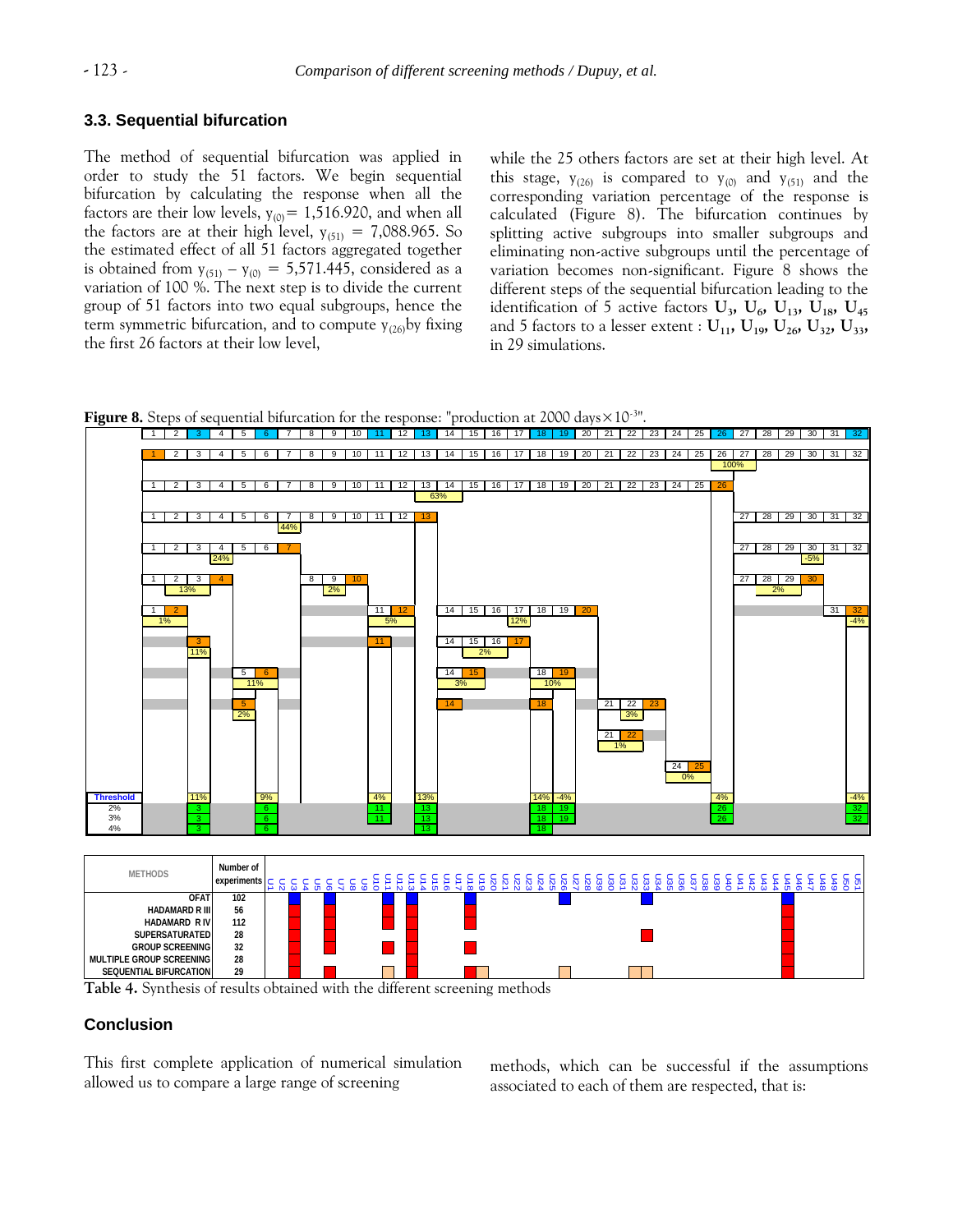## **3.3. Sequential bifurcation**

The method of sequential bifurcation was applied in order to study the 51 factors. We begin sequential bifurcation by calculating the response when all the factors are their low levels,  $y_{(0)} = 1,516.920$ , and when all the factors are at their high level,  $y_{(51)} = 7,088.965$ . So the estimated effect of all 51 factors aggregated together is obtained from  $y_{(51)} - y_{(0)} = 5,571.445$ , considered as a variation of 100 %. The next step is to divide the current group of 51 factors into two equal subgroups, hence the term symmetric bifurcation, and to compute  $y_{(26)}$ by fixing the first 26 factors at their low level,

while the 25 others factors are set at their high level. At this stage,  $y_{(26)}$  is compared to  $y_{(0)}$  and  $y_{(51)}$  and the corresponding variation percentage of the response is calculated (Figure 8). The bifurcation continues by splitting active subgroups into smaller subgroups and eliminating non-active subgroups until the percentage of variation becomes non-significant. Figure 8 shows the different steps of the sequential bifurcation leading to the identification of 5 active factors  $\mathbf{U}_3$ ,  $\mathbf{U}_6$ ,  $\mathbf{U}_{13}$ ,  $\mathbf{U}_{18}$ ,  $\mathbf{U}_{45}$ and 5 factors to a lesser extent :  $U_{11}$ ,  $U_{19}$ ,  $U_{26}$ ,  $U_{32}$ ,  $U_{33}$ , in 29 simulations.





**Table 4.** Synthesis of results obtained with the different screening methods

## **Conclusion**

This first complete application of numerical simulation allowed us to compare a large range of screening

methods, which can be successful if the assumptions associated to each of them are respected, that is: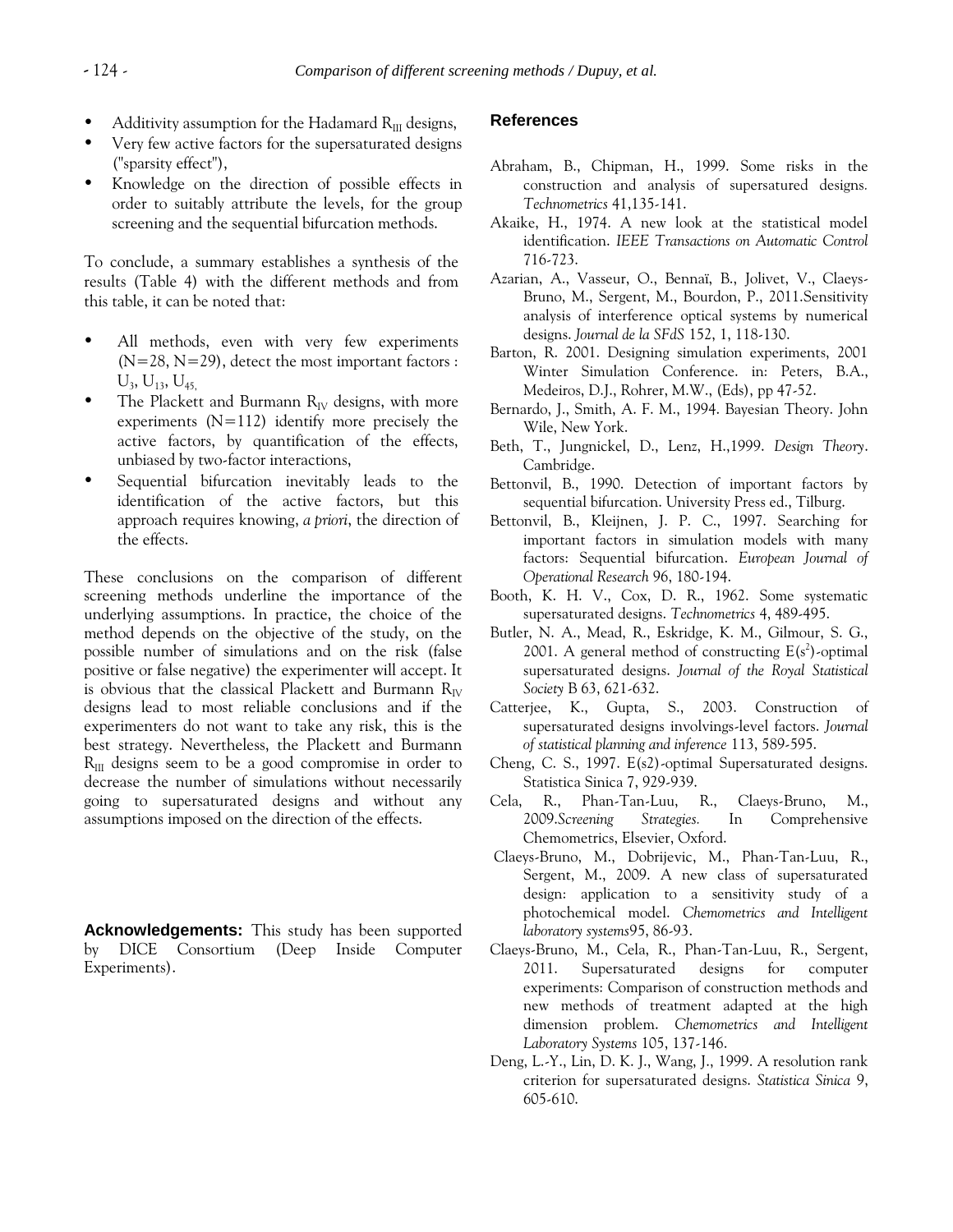- Additivity assumption for the Hadamard  $R_{III}$  designs,
- Very few active factors for the supersaturated designs ("sparsity effect"),
- Knowledge on the direction of possible effects in order to suitably attribute the levels, for the group screening and the sequential bifurcation methods.

To conclude, a summary establishes a synthesis of the results (Table 4) with the different methods and from this table, it can be noted that:

- All methods, even with very few experiments  $(N=28, N=29)$ , detect the most important factors :  $U_3$ ,  $U_{13}$ ,  $U_{45}$
- The Plackett and Burmann  $R_{IV}$  designs, with more experiments  $(N=112)$  identify more precisely the active factors, by quantification of the effects, unbiased by two-factor interactions,
- Sequential bifurcation inevitably leads to the identification of the active factors, but this approach requires knowing, *a priori*, the direction of the effects.

These conclusions on the comparison of different screening methods underline the importance of the underlying assumptions. In practice, the choice of the method depends on the objective of the study, on the possible number of simulations and on the risk (false positive or false negative) the experimenter will accept. It is obvious that the classical Plackett and Burmann  $R_{IV}$ designs lead to most reliable conclusions and if the experimenters do not want to take any risk, this is the best strategy. Nevertheless, the Plackett and Burmann  $R_{III}$  designs seem to be a good compromise in order to decrease the number of simulations without necessarily going to supersaturated designs and without any assumptions imposed on the direction of the effects.

**Acknowledgements:** This study has been supported by DICE Consortium (Deep Inside Computer Experiments).

## **References**

- Abraham, B., Chipman, H., 1999. Some risks in the construction and analysis of supersatured designs*. Technometrics* 41,135-141.
- Akaike, H., 1974. A new look at the statistical model identification. *IEEE Transactions on Automatic Control* 716-723.
- Azarian, A., Vasseur, O., Bennaï, B., Jolivet, V., Claeys-Bruno, M., Sergent, M., Bourdon, P., 2011.Sensitivity analysis of interference optical systems by numerical designs. *Journal de la SFdS* 152, 1, 118-130.
- Barton, R. 2001. Designing simulation experiments, 2001 Winter Simulation Conference. in: Peters, B.A., Medeiros, D.J., Rohrer, M.W., (Eds), pp 47-52.
- Bernardo, J., Smith, A. F. M., 1994. Bayesian Theory. John Wile, New York.
- Beth, T., Jungnickel, D., Lenz, H.,1999. *Design Theory*. Cambridge.
- Bettonvil, B., 1990. Detection of important factors by sequential bifurcation. University Press ed., Tilburg.
- Bettonvil, B., Kleijnen, J. P. C., 1997. Searching for important factors in simulation models with many factors: Sequential bifurcation. *European Journal of Operational Research* 96, 180-194.
- Booth, K. H. V., Cox, D. R., 1962. Some systematic supersaturated designs. *Technometrics* 4, 489-495.
- Butler, N. A., Mead, R., Eskridge, K. M., Gilmour, S. G., 2001. A general method of constructing  $E(s^2)$ -optimal supersaturated designs. *Journal of the Royal Statistical Society* B 63, 621-632.
- Catterjee, K., Gupta, S., 2003. Construction of supersaturated designs involvings-level factors. *Journal of statistical planning and inference* 113, 589-595.
- Cheng, C. S., 1997. E(s2)-optimal Supersaturated designs. Statistica Sinica 7, 929-939.
- Cela, R., Phan-Tan-Luu, R., Claeys-Bruno, M., 2009.*Screening Strategies.* In Comprehensive Chemometrics, Elsevier, Oxford.
- Claeys-Bruno, M., Dobrijevic, M., Phan-Tan-Luu, R., Sergent, M., 2009. A new class of supersaturated design: application to a sensitivity study of a photochemical model. *Chemometrics and Intelligent laboratory systems*95, 86-93.
- Claeys-Bruno, M., Cela, R., Phan-Tan-Luu, R., Sergent, 2011. Supersaturated designs for computer experiments: Comparison of construction methods and new methods of treatment adapted at the high dimension problem. *Chemometrics and Intelligent Laboratory Systems* 105, 137-146.
- Deng, L.-Y., Lin, D. K. J., Wang, J., 1999. A resolution rank criterion for supersaturated designs. *Statistica Sinica* 9, 605-610.